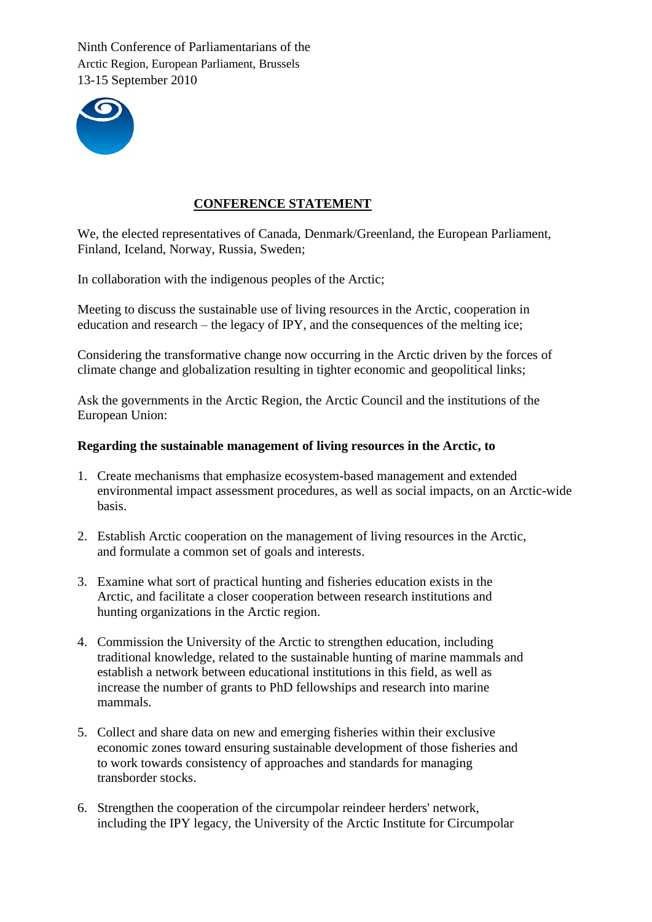

# **CONFERENCE STATEMENT**

We, the elected representatives of Canada, Denmark/Greenland, the European Parliament, Finland, Iceland, Norway, Russia, Sweden;

In collaboration with the indigenous peoples of the Arctic;

Meeting to discuss the sustainable use of living resources in the Arctic, cooperation in education and research – the legacy of IPY, and the consequences of the melting ice;

Considering the transformative change now occurring in the Arctic driven by the forces of climate change and globalization resulting in tighter economic and geopolitical links;

Ask the governments in the Arctic Region, the Arctic Council and the institutions of the European Union:

## **Regarding the sustainable management of living resources in the Arctic, to**

- 1. Create mechanisms that emphasize ecosystem-based management and extended environmental impact assessment procedures, as well as social impacts, on an Arctic-wide basis.
- 2. Establish Arctic cooperation on the management of living resources in the Arctic, and formulate a common set of goals and interests.
- 3. Examine what sort of practical hunting and fisheries education exists in the Arctic, and facilitate a closer cooperation between research institutions and hunting organizations in the Arctic region.
- 4. Commission the University of the Arctic to strengthen education, including traditional knowledge, related to the sustainable hunting of marine mammals and establish a network between educational institutions in this field, as well as increase the number of grants to PhD fellowships and research into marine mammals.
- 5. Collect and share data on new and emerging fisheries within their exclusive economic zones toward ensuring sustainable development of those fisheries and to work towards consistency of approaches and standards for managing transborder stocks.
- 6. Strengthen the cooperation of the circumpolar reindeer herders' network, including the IPY legacy, the University of the Arctic Institute for Circumpolar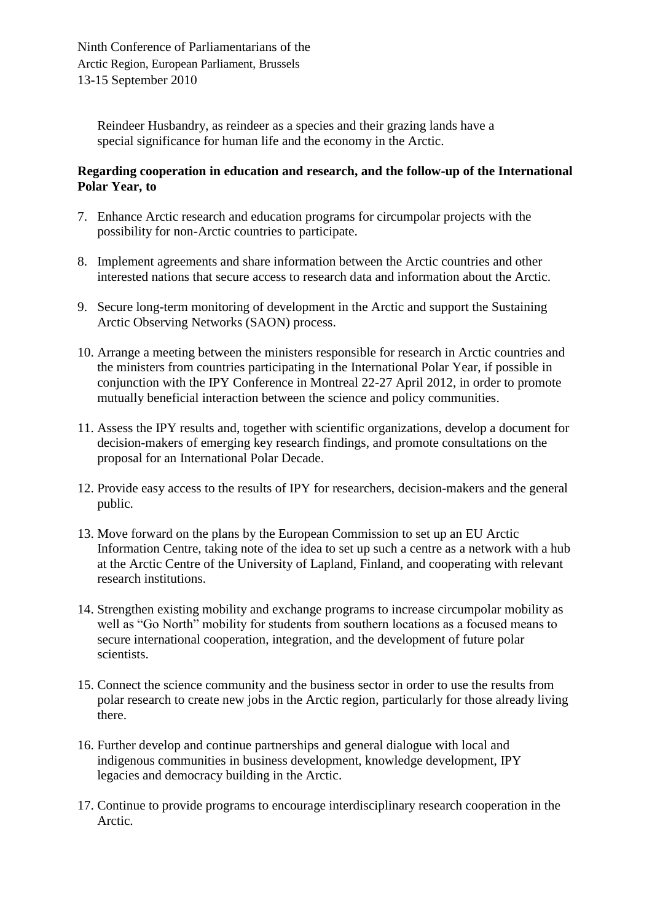Reindeer Husbandry, as reindeer as a species and their grazing lands have a special significance for human life and the economy in the Arctic.

## **Regarding cooperation in education and research, and the follow-up of the International Polar Year, to**

- 7. Enhance Arctic research and education programs for circumpolar projects with the possibility for non-Arctic countries to participate.
- 8. Implement agreements and share information between the Arctic countries and other interested nations that secure access to research data and information about the Arctic.
- 9. Secure long-term monitoring of development in the Arctic and support the Sustaining Arctic Observing Networks (SAON) process.
- 10. Arrange a meeting between the ministers responsible for research in Arctic countries and the ministers from countries participating in the International Polar Year, if possible in conjunction with the IPY Conference in Montreal 22-27 April 2012, in order to promote mutually beneficial interaction between the science and policy communities.
- 11. Assess the IPY results and, together with scientific organizations, develop a document for decision-makers of emerging key research findings, and promote consultations on the proposal for an International Polar Decade.
- 12. Provide easy access to the results of IPY for researchers, decision-makers and the general public.
- 13. Move forward on the plans by the European Commission to set up an EU Arctic Information Centre, taking note of the idea to set up such a centre as a network with a hub at the Arctic Centre of the University of Lapland, Finland, and cooperating with relevant research institutions.
- 14. Strengthen existing mobility and exchange programs to increase circumpolar mobility as well as "Go North" mobility for students from southern locations as a focused means to secure international cooperation, integration, and the development of future polar scientists.
- 15. Connect the science community and the business sector in order to use the results from polar research to create new jobs in the Arctic region, particularly for those already living there.
- 16. Further develop and continue partnerships and general dialogue with local and indigenous communities in business development, knowledge development, IPY legacies and democracy building in the Arctic.
- 17. Continue to provide programs to encourage interdisciplinary research cooperation in the Arctic.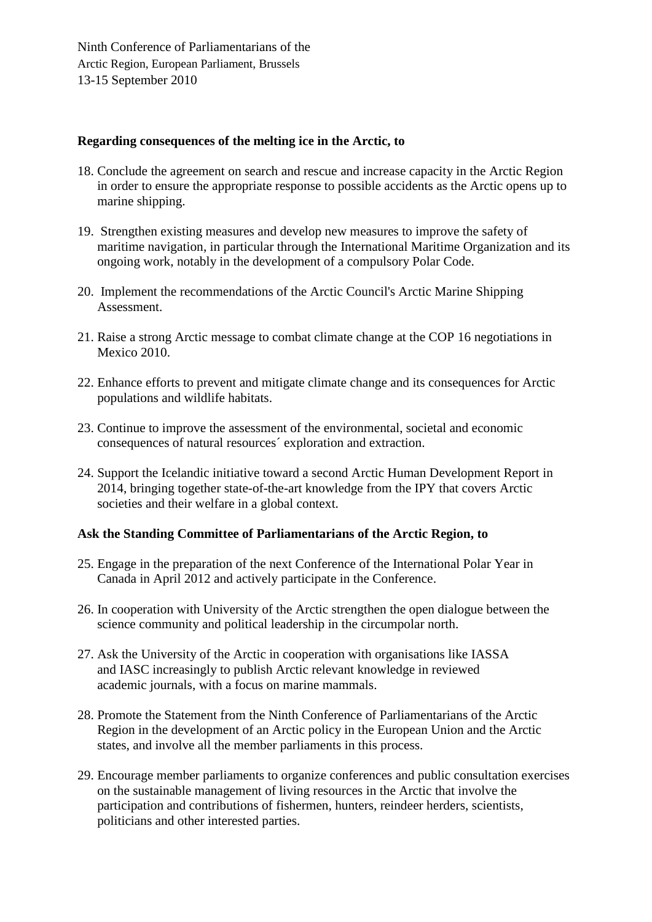### **Regarding consequences of the melting ice in the Arctic, to**

- 18. Conclude the agreement on search and rescue and increase capacity in the Arctic Region in order to ensure the appropriate response to possible accidents as the Arctic opens up to marine shipping.
- 19. Strengthen existing measures and develop new measures to improve the safety of maritime navigation, in particular through the International Maritime Organization and its ongoing work, notably in the development of a compulsory Polar Code.
- 20. Implement the recommendations of the Arctic Council's Arctic Marine Shipping Assessment.
- 21. Raise a strong Arctic message to combat climate change at the COP 16 negotiations in Mexico 2010.
- 22. Enhance efforts to prevent and mitigate climate change and its consequences for Arctic populations and wildlife habitats.
- 23. Continue to improve the assessment of the environmental, societal and economic consequences of natural resources´ exploration and extraction.
- 24. Support the Icelandic initiative toward a second Arctic Human Development Report in 2014, bringing together state-of-the-art knowledge from the IPY that covers Arctic societies and their welfare in a global context.

### **Ask the Standing Committee of Parliamentarians of the Arctic Region, to**

- 25. Engage in the preparation of the next Conference of the International Polar Year in Canada in April 2012 and actively participate in the Conference.
- 26. In cooperation with University of the Arctic strengthen the open dialogue between the science community and political leadership in the circumpolar north.
- 27. Ask the University of the Arctic in cooperation with organisations like IASSA and IASC increasingly to publish Arctic relevant knowledge in reviewed academic journals, with a focus on marine mammals.
- 28. Promote the Statement from the Ninth Conference of Parliamentarians of the Arctic Region in the development of an Arctic policy in the European Union and the Arctic states, and involve all the member parliaments in this process.
- 29. Encourage member parliaments to organize conferences and public consultation exercises on the sustainable management of living resources in the Arctic that involve the participation and contributions of fishermen, hunters, reindeer herders, scientists, politicians and other interested parties.